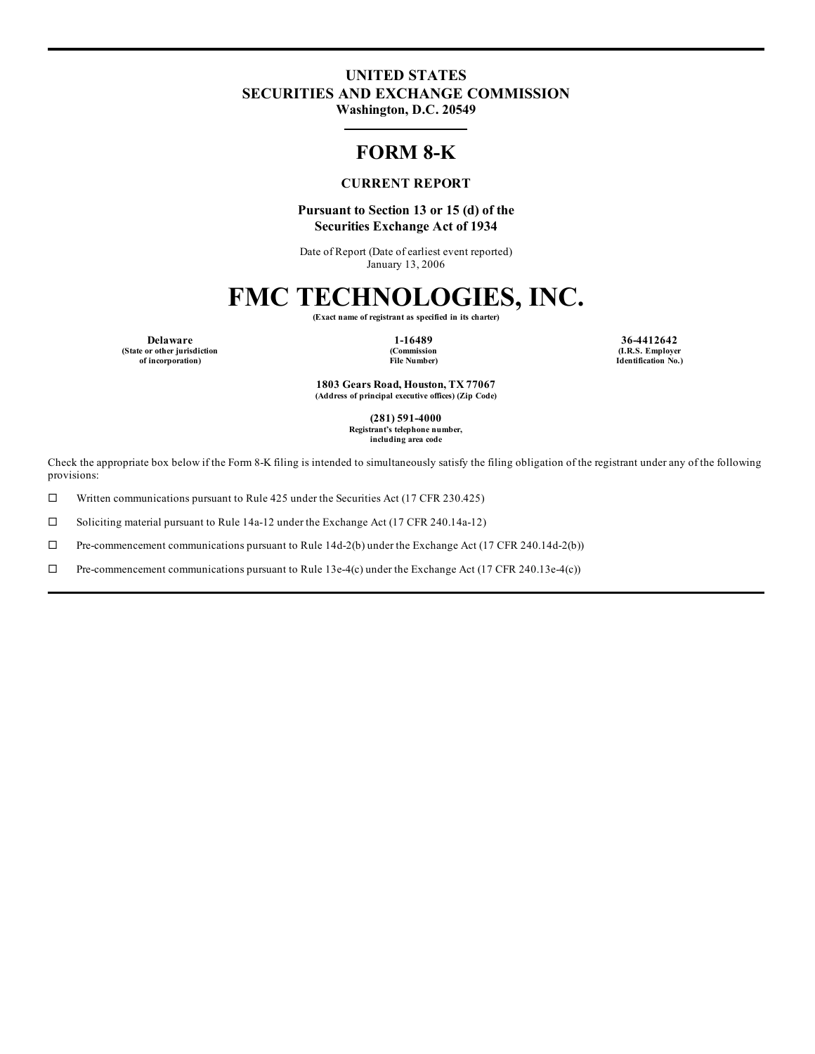### **UNITED STATES SECURITIES AND EXCHANGE COMMISSION**

**Washington, D.C. 20549**

### **FORM 8-K**

#### **CURRENT REPORT**

#### **Pursuant to Section 13 or 15 (d) of the Securities Exchange Act of 1934**

Date of Report (Date of earliest event reported) January 13, 2006

## **FMC TECHNOLOGIES, INC.**

**(Exact name of registrant as specified in its charter)**

**Delaware 1-16489 36-4412642 (State or other jurisdiction of incorporation)**

**(Commission File Number)**

**(I.R.S. Employer Identification No.)**

**1803 Gears Road, Houston, TX 77067 (Address of principal executive offices) (Zip Code)**

> **(281) 591-4000 Registrant's telephone number, including area code**

Check the appropriate box below if the Form 8-K filing is intended to simultaneously satisfy the filing obligation of the registrant under any of the following provisions:

 $\Box$  Written communications pursuant to Rule 425 under the Securities Act (17 CFR 230.425)

 $\Box$  Soliciting material pursuant to Rule 14a-12 under the Exchange Act (17 CFR 240.14a-12)

 $\Box$  Pre-commencement communications pursuant to Rule 14d-2(b) under the Exchange Act (17 CFR 240.14d-2(b))

 $\Box$  Pre-commencement communications pursuant to Rule 13e-4(c) under the Exchange Act (17 CFR 240.13e-4(c))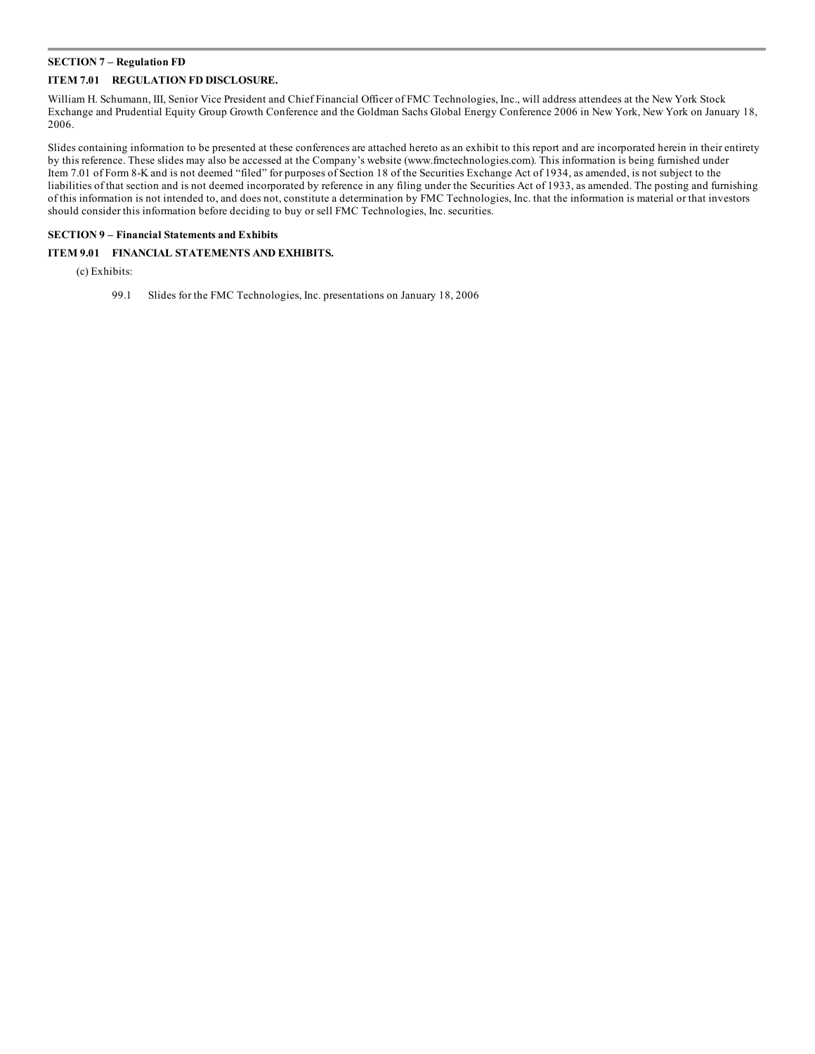#### **SECTION 7 – Regulation FD**

#### **ITEM 7.01 REGULATION FD DISCLOSURE.**

William H. Schumann, III, Senior Vice President and Chief Financial Officer of FMC Technologies, Inc., will address attendees at the New York Stock Exchange and Prudential Equity Group Growth Conference and the Goldman Sachs Global Energy Conference 2006 in New York, New York on January 18, 2006.

Slides containing information to be presented at these conferences are attached hereto as an exhibit to this report and are incorporated herein in their entirety by this reference. These slides may also be accessed at the Company's website (www.fmctechnologies.com). This information is being furnished under Item 7.01 of Form 8-K and is not deemed "filed" for purposes of Section 18 of the Securities Exchange Act of 1934, as amended, is not subject to the liabilities of that section and is not deemed incorporated by reference in any filing under the Securities Act of 1933, as amended. The posting and furnishing of this information is not intended to, and does not, constitute a determination by FMC Technologies, Inc. that the information is material or that investors should consider this information before deciding to buy or sell FMC Technologies, Inc. securities.

#### **SECTION 9 – Financial Statements and Exhibits**

#### **ITEM 9.01 FINANCIAL STATEMENTS AND EXHIBITS.**

(c) Exhibits:

99.1 Slides for the FMC Technologies, Inc. presentations on January 18, 2006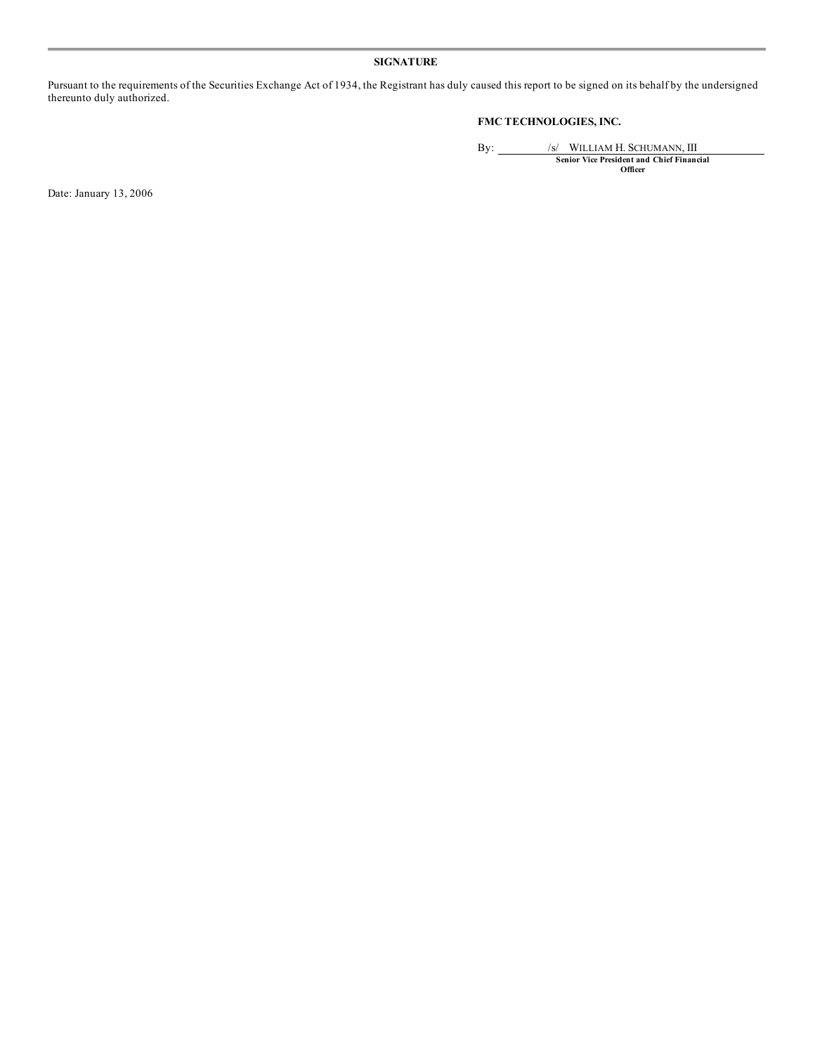#### **SIGNATURE**

Pursuant to the requirements of the Securities Exchange Act of 1934, the Registrant has duly caused this report to be signed on its behalf by the undersigned thereunto duly authorized.

#### **FMC TECHNOLOGIES, INC.**

By: /s/ WILLIAM H. SCHUMANN, III **Senior Vice President and Chief Financial Officer**

Date: January 13, 2006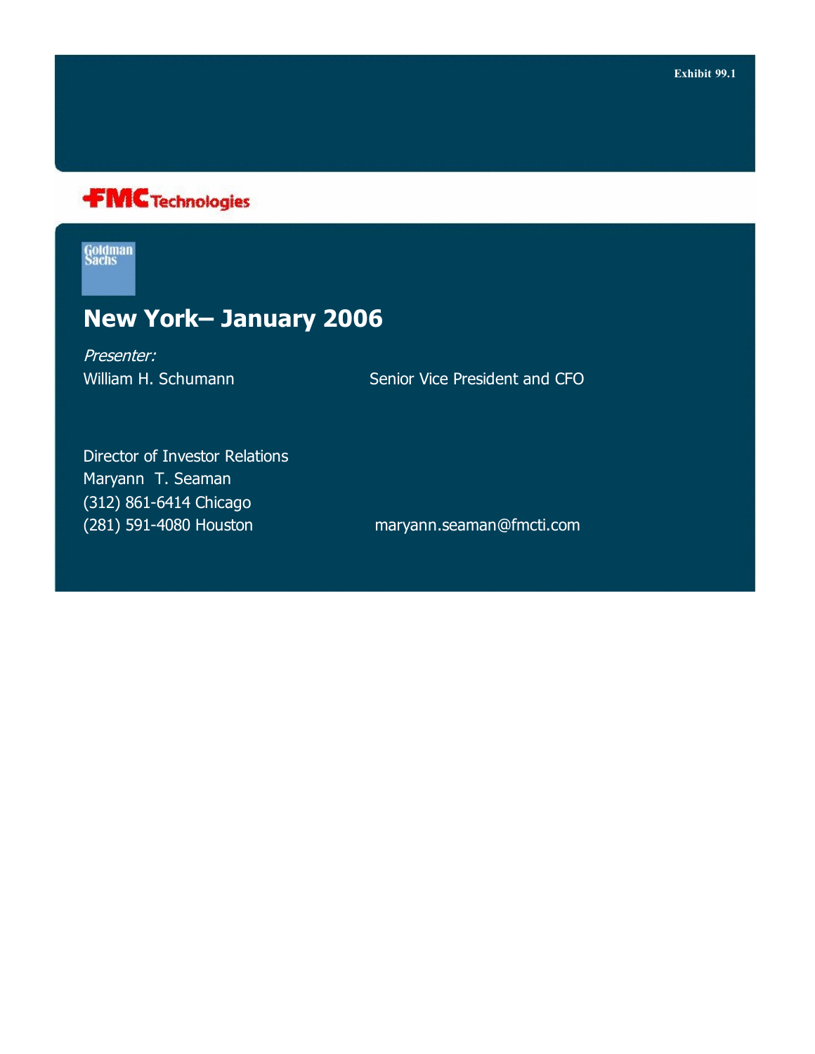

Goldman<br>Sachs

### **New York– January 2006**

Presenter:

William H. Schumann Senior Vice President and CFO

Director of Investor Relations Maryann T. Seaman (312) 861-6414 Chicago (281) 591-4080 Houston maryann.seaman@fmcti.com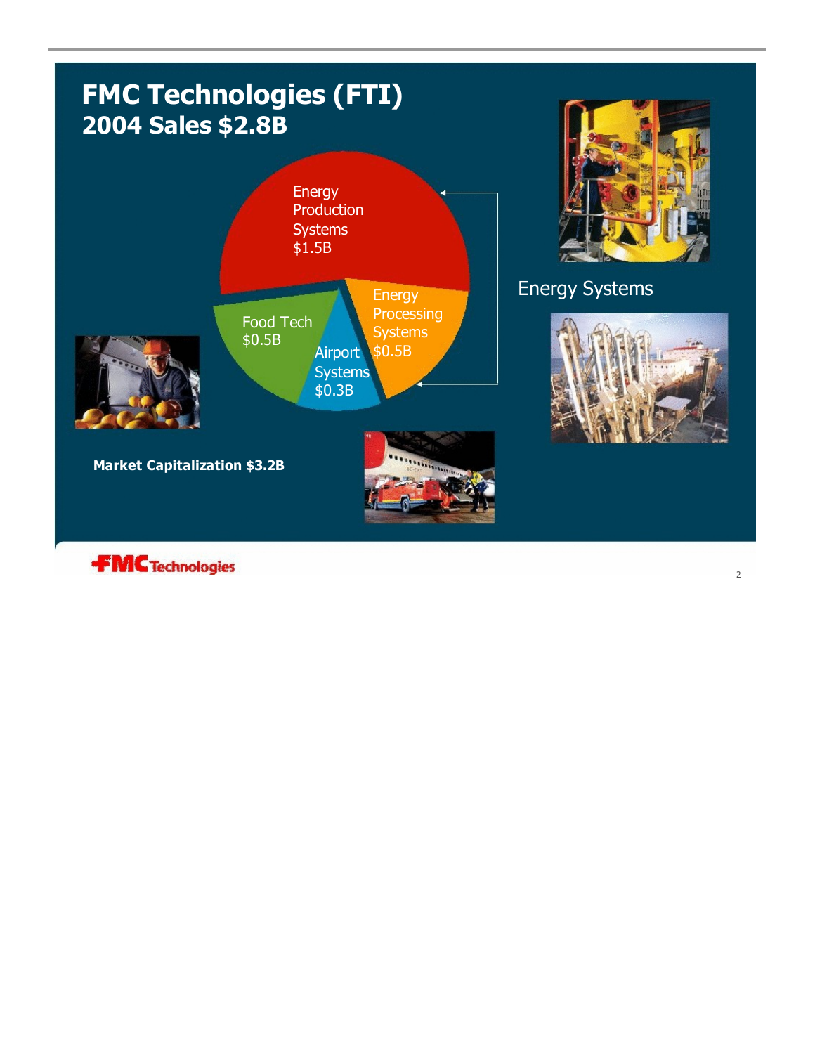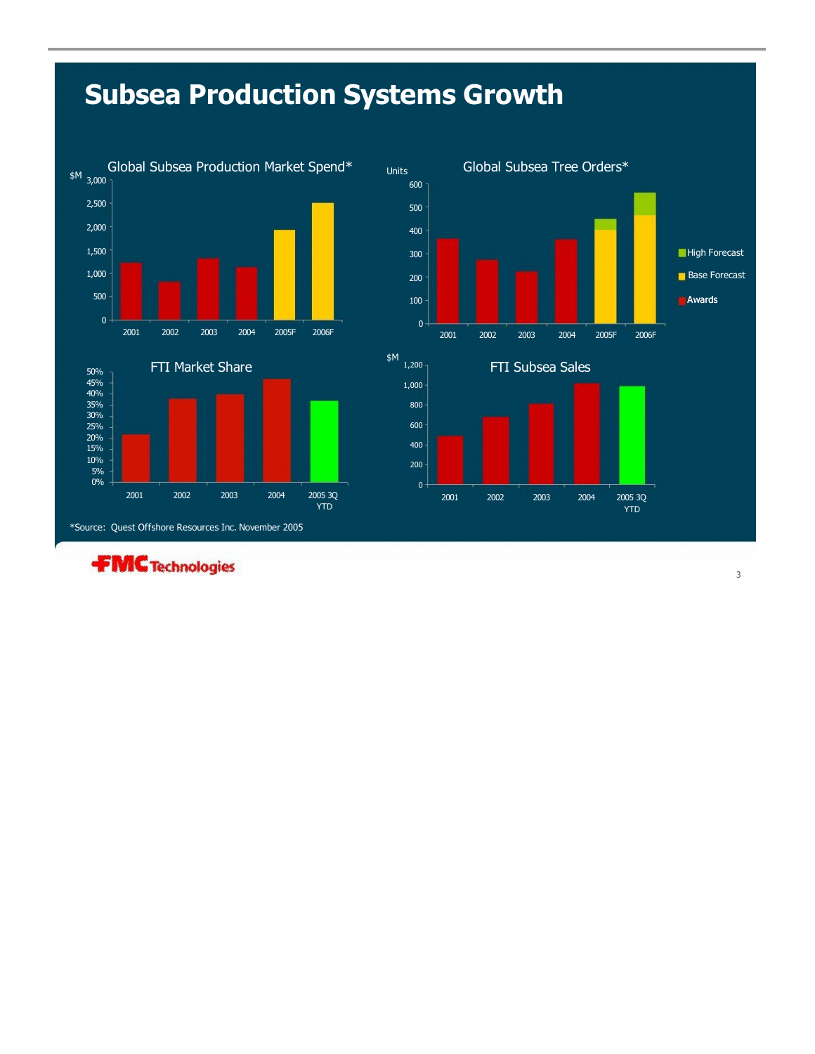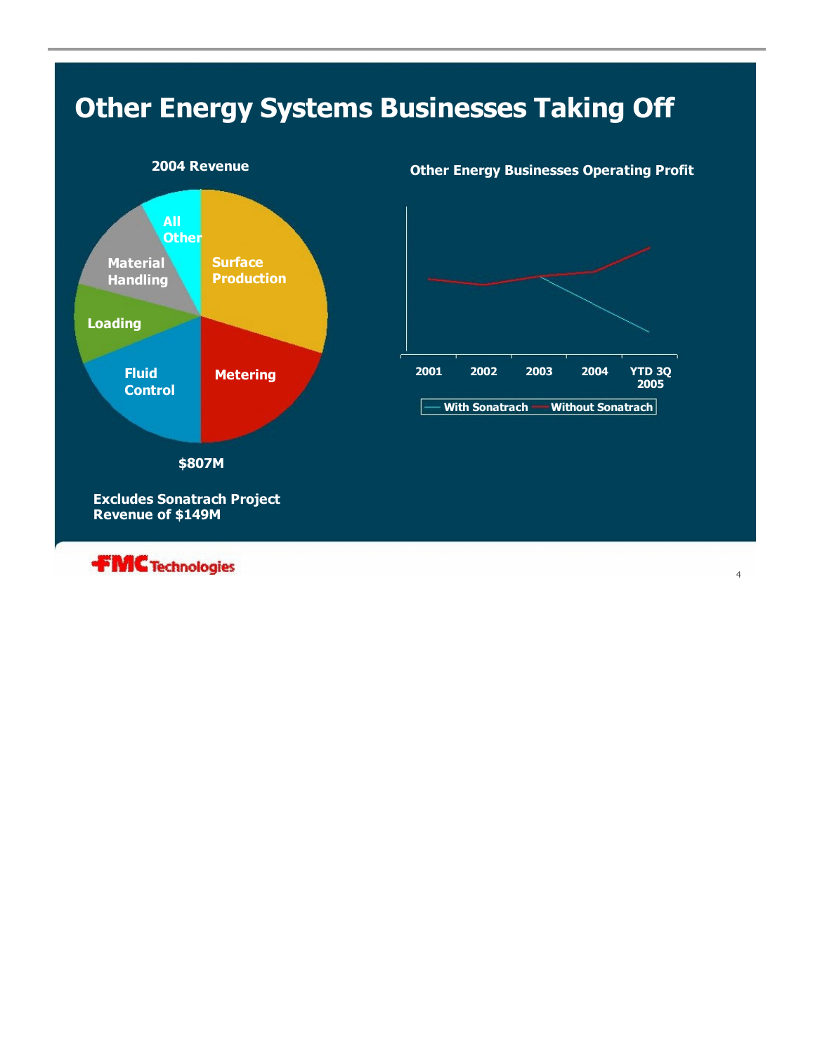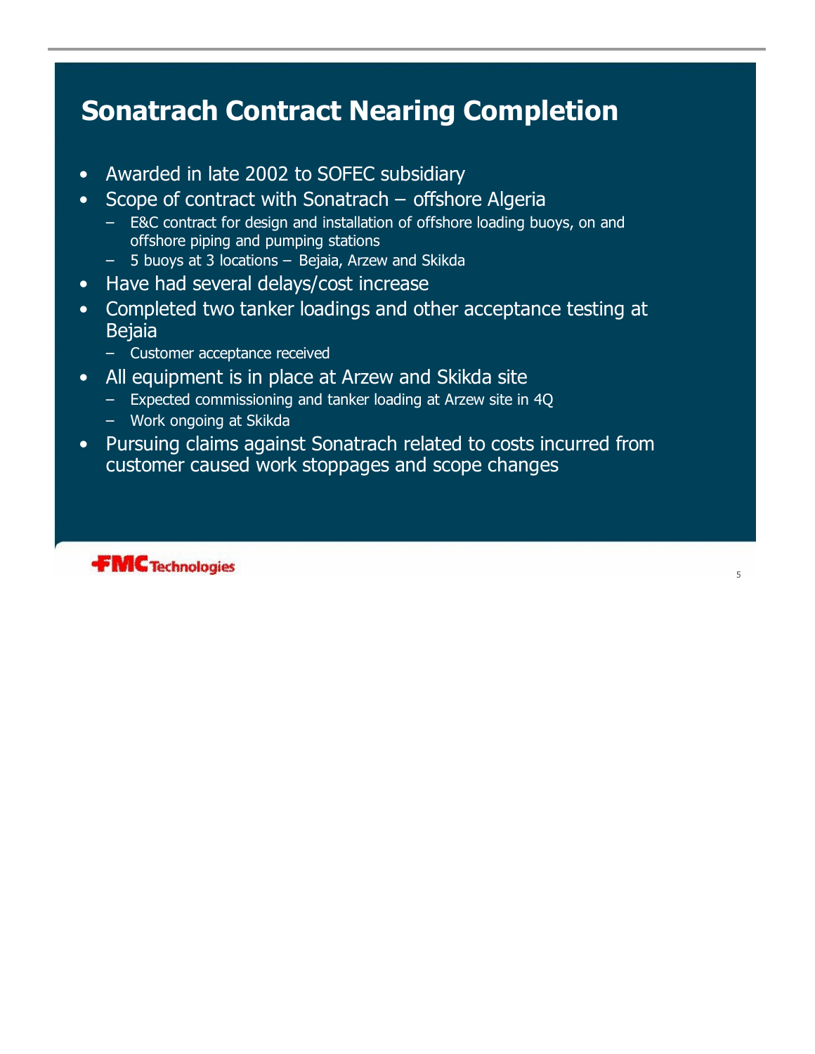# **Sonatrach Contract Nearing Completion**

- Awarded in late 2002 to SOFEC subsidiary
- Scope of contract with Sonatrach offshore Algeria
	- E&C contract for design and installation of offshore loading buoys, on and offshore piping and pumping stations
	- 5 buoys at 3 locations Bejaia, Arzew and Skikda
- Have had several delays/cost increase
- Completed two tanker loadings and other acceptance testing at **Bejaia** 
	- Customer acceptance received
- All equipment is in place at Arzew and Skikda site
	- Expected commissioning and tanker loading at Arzew site in 4Q
	- Work ongoing at Skikda
- Pursuing claims against Sonatrach related to costs incurred from customer caused work stoppages and scope changes

5

**FMC** Technologies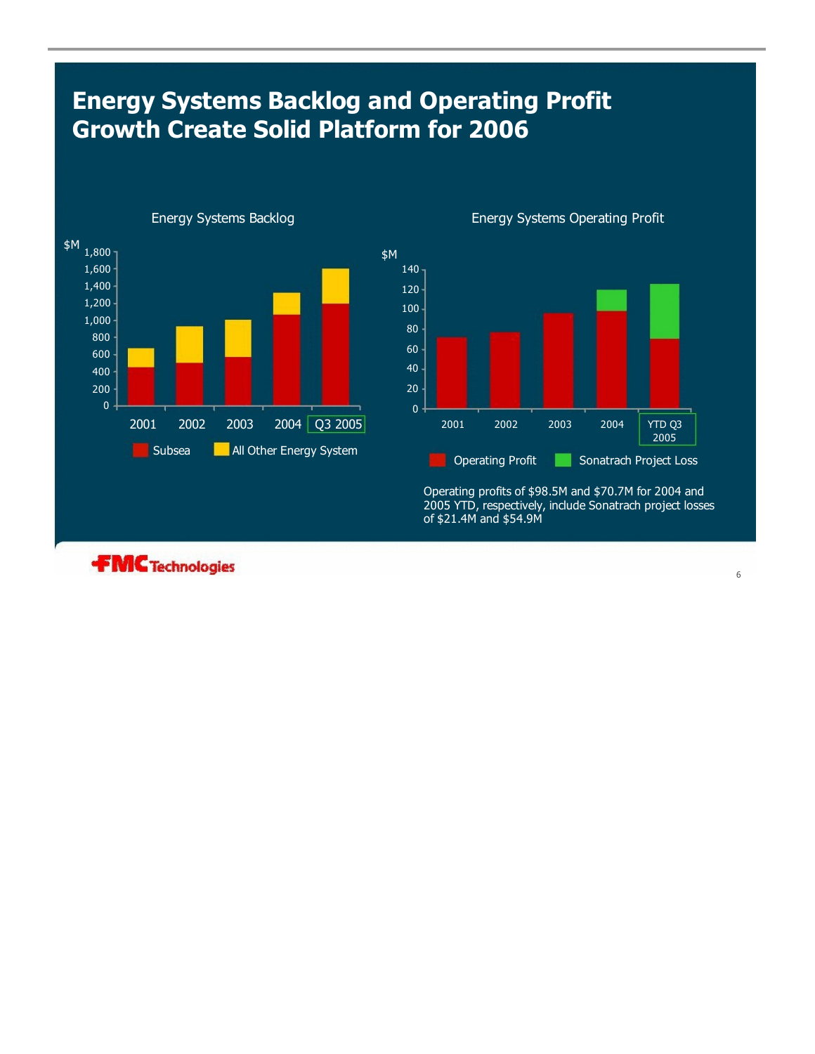## **Energy Systems Backlog and Operating Profit Growth Create Solid Platform for 2006**





Operating profits of \$98.5M and \$70.7M for 2004 and 2005 YTD, respectively, include Sonatrach project losses of \$21.4M and \$54.9M

**FMC** Technologies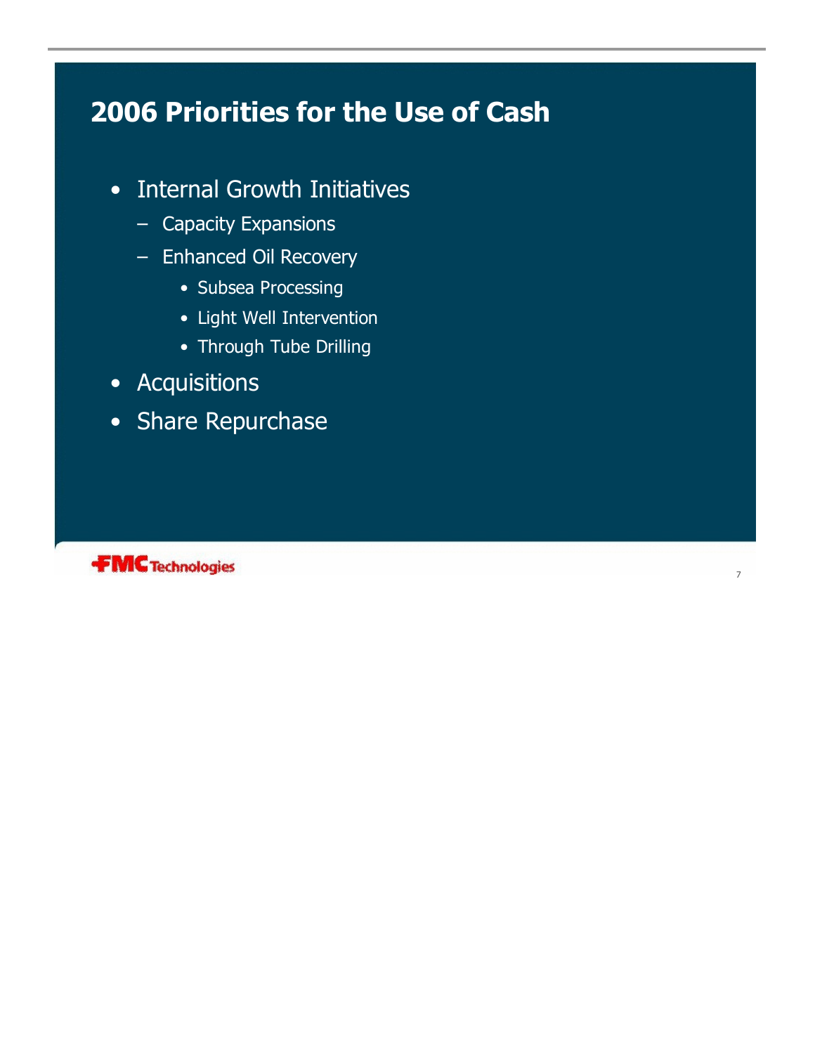# **2006 Priorities for the Use of Cash**

- Internal Growth Initiatives
	- Capacity Expansions
	- Enhanced Oil Recovery
		- Subsea Processing
		- Light Well Intervention
		- Through Tube Drilling

7

- Acquisitions
- Share Repurchase

**FMC** Technologies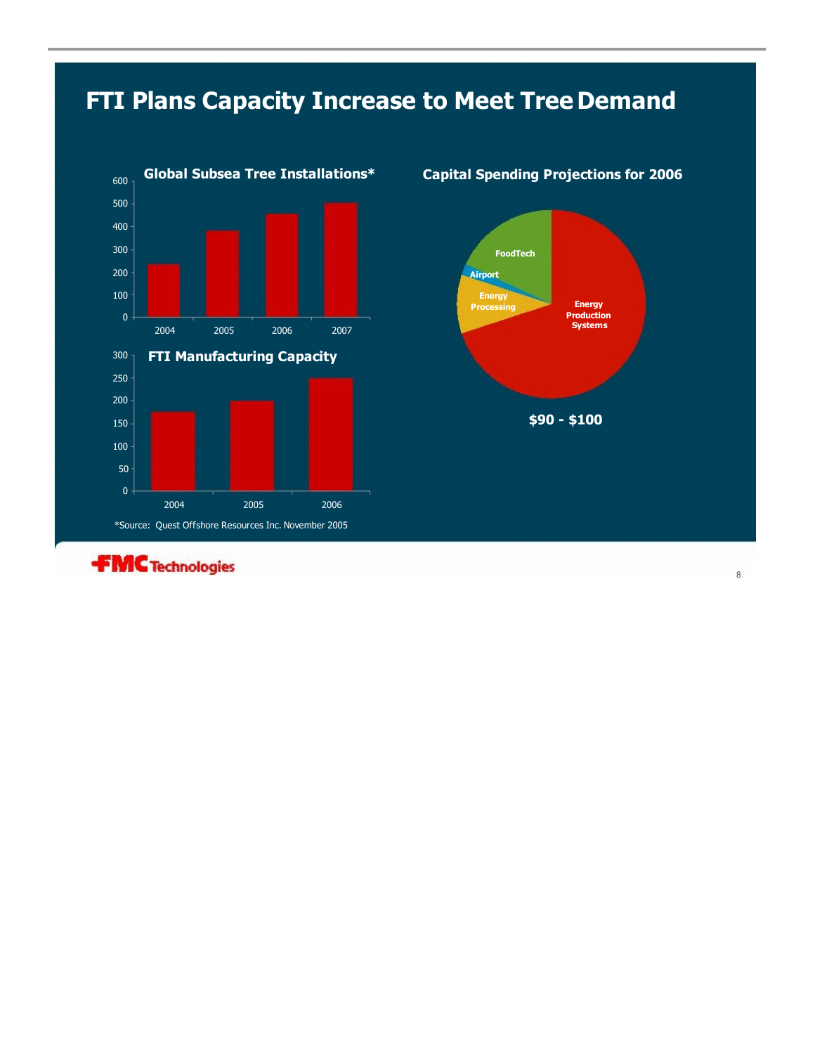# **FTI Plans Capacity Increase to Meet Tree Demand**